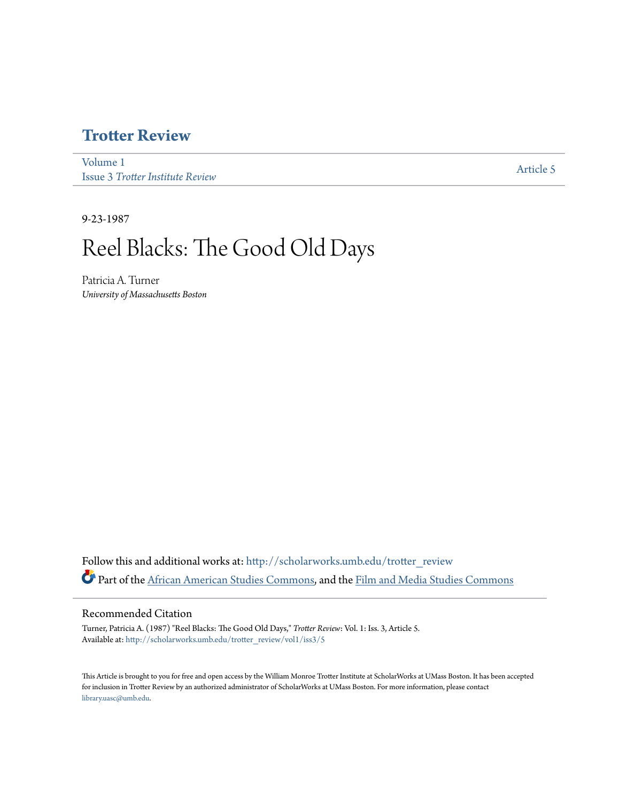## **[Trotter Review](http://scholarworks.umb.edu/trotter_review?utm_source=scholarworks.umb.edu%2Ftrotter_review%2Fvol1%2Fiss3%2F5&utm_medium=PDF&utm_campaign=PDFCoverPages)**

[Volume 1](http://scholarworks.umb.edu/trotter_review/vol1?utm_source=scholarworks.umb.edu%2Ftrotter_review%2Fvol1%2Fiss3%2F5&utm_medium=PDF&utm_campaign=PDFCoverPages) Issue 3 *[Trotter Institute Review](http://scholarworks.umb.edu/trotter_review/vol1/iss3?utm_source=scholarworks.umb.edu%2Ftrotter_review%2Fvol1%2Fiss3%2F5&utm_medium=PDF&utm_campaign=PDFCoverPages)*

[Article 5](http://scholarworks.umb.edu/trotter_review/vol1/iss3/5?utm_source=scholarworks.umb.edu%2Ftrotter_review%2Fvol1%2Fiss3%2F5&utm_medium=PDF&utm_campaign=PDFCoverPages)

9-23-1987

## Reel Blacks: The Good Old Days

Patricia A. Turner *University of Massachusetts Boston*

Follow this and additional works at: [http://scholarworks.umb.edu/trotter\\_review](http://scholarworks.umb.edu/trotter_review?utm_source=scholarworks.umb.edu%2Ftrotter_review%2Fvol1%2Fiss3%2F5&utm_medium=PDF&utm_campaign=PDFCoverPages) Part of the [African American Studies Commons,](http://network.bepress.com/hgg/discipline/567?utm_source=scholarworks.umb.edu%2Ftrotter_review%2Fvol1%2Fiss3%2F5&utm_medium=PDF&utm_campaign=PDFCoverPages) and the [Film and Media Studies Commons](http://network.bepress.com/hgg/discipline/563?utm_source=scholarworks.umb.edu%2Ftrotter_review%2Fvol1%2Fiss3%2F5&utm_medium=PDF&utm_campaign=PDFCoverPages)

## Recommended Citation

Turner, Patricia A. (1987) "Reel Blacks: The Good Old Days," *Trotter Review*: Vol. 1: Iss. 3, Article 5. Available at: [http://scholarworks.umb.edu/trotter\\_review/vol1/iss3/5](http://scholarworks.umb.edu/trotter_review/vol1/iss3/5?utm_source=scholarworks.umb.edu%2Ftrotter_review%2Fvol1%2Fiss3%2F5&utm_medium=PDF&utm_campaign=PDFCoverPages)

This Article is brought to you for free and open access by the William Monroe Trotter Institute at ScholarWorks at UMass Boston. It has been accepted for inclusion in Trotter Review by an authorized administrator of ScholarWorks at UMass Boston. For more information, please contact [library.uasc@umb.edu.](mailto:library.uasc@umb.edu)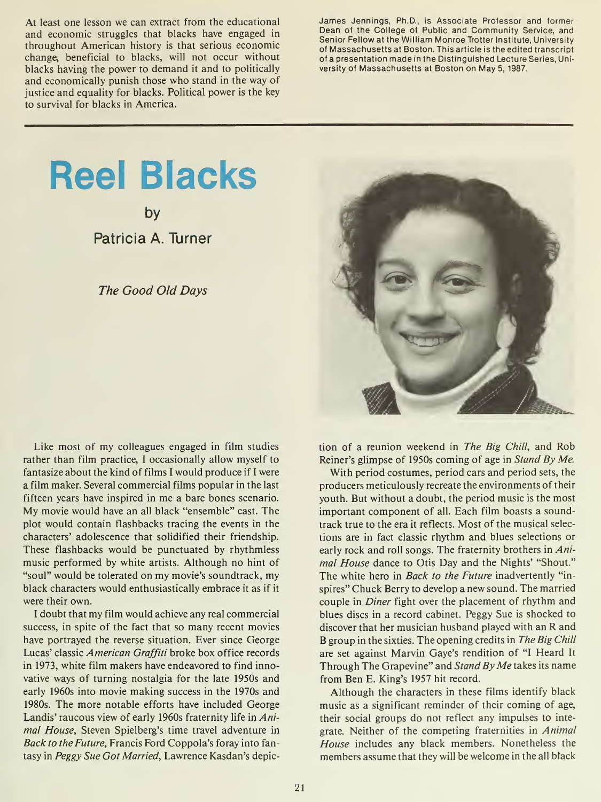At least one lesson we can extract from the educational and economic struggles that blacks have engaged in throughout American history is that serious economic change, beneficial to blacks, will not occur without blacks having the power to demand it and to politically and economically punish those who stand in the way of justice and equality for blacks. Political power is the key to survival for blacks in America.

James Jennings, Ph.D., is Associate Professor and former Dean of the College of Public and Community Service, and Senior Fellow at the William Monroe Trotter Institute, University of Massachusetts at Boston. This article is the edited transcript of a presentation made in the Distinguished Lecture Series, University of Massachusetts at Boston on May 5, 1987.

## Reel Blacks

by

Patricia A. Turner

The Good Old Days



Like most of my colleagues engaged in film studies rather than film practice, <sup>I</sup> occasionally allow myself to fantasize about the kind of films I would produce if I were a film maker. Several commercial films popular in the last fifteen years have inspired in me a bare bones scenario. My movie would have an all black "ensemble" cast. The plot would contain flashbacks tracing the events in the characters' adolescence that solidified their friendship. These flashbacks would be punctuated by rhythmless music performed by white artists. Although no hint of "soul" would be tolerated on my movie's soundtrack, my black characters would enthusiastically embrace it as if it were their own.

<sup>I</sup> doubt that my film would achieve any real commercial success, in spite of the fact that so many recent movies have portrayed the reverse situation. Ever since George Lucas' classic American Graffiti broke box office records in 1973, white film makers have endeavored to find innovative ways of turning nostalgia for the late 1950s and early 1960s into movie making success in the 1970s and 1980s. The more notable efforts have included George Landis' raucous view of early 1960s fraternity life in Animal House, Steven Spielberg's time travel adventure in Back to the Future, Francis Ford Coppola's foray into fantasy in Peggy Sue Got Married, Lawrence Kasdan's depiction of a reunion weekend in The Big Chill, and Rob Reiner's glimpse of 1950s coming of age in Stand By Me.

With period costumes, period cars and period sets, the producers meticulously recreate the environments of their youth. But without a doubt, the period music is the most important component of all. Each film boasts a soundtrack true to the era it reflects. Most of the musical selections are in fact classic rhythm and blues selections or early rock and roll songs. The fraternity brothers in Animal House dance to Otis Day and the Nights' "Shout." The white hero in *Back to the Future* inadvertently "inspires" Chuck Berry to develop a new sound. The married couple in Diner fight over the placement of rhythm and blues discs in a record cabinet. Peggy Sue is shocked to discover that her musician husband played with an R and B group in the sixties. The opening credits in The Big Chill are set against Marvin Gaye's rendition of "I Heard It Through The Grapevine" and Stand By Me takes its name from Ben E. King's 1957 hit record.

Although the characters in these films identify black music as a significant reminder of their coming of age, their social groups do not reflect any impulses to integrate. Neither of the competing fraternities in Animal House includes any black members. Nonetheless the members assume that they will be welcome in the all black